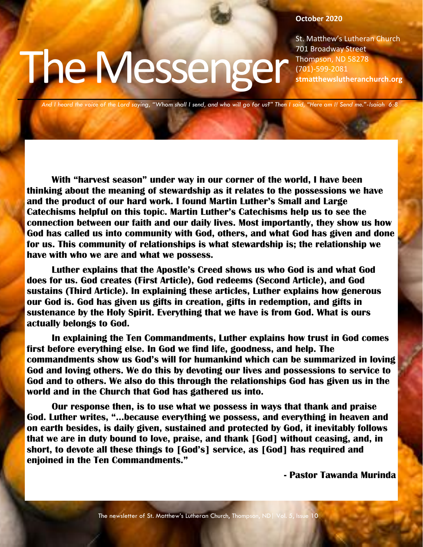#### **October 2020**

St. Matthew's Lutheran Church 701 Broadway Street Thompson, ND 58278 (701)-599-2081 **stmatthewslutheranchurch.org**

*And I heard the voice of the Lord saying, "Whom shall I send, and who will go for us?" Then I said, "Here am I! Send me."-Isaiah 6:8*

The Messenger

**With "harvest season" under way in our corner of the world, I have been thinking about the meaning of stewardship as it relates to the possessions we have and the product of our hard work. I found Martin Luther's Small and Large Catechisms helpful on this topic. Martin Luther's Catechisms help us to see the connection between our faith and our daily lives. Most importantly, they show us how God has called us into community with God, others, and what God has given and done for us. This community of relationships is what stewardship is; the relationship we have with who we are and what we possess.**

**Luther explains that the Apostle's Creed shows us who God is and what God does for us. God creates (First Article), God redeems (Second Article), and God sustains (Third Article). In explaining these articles, Luther explains how generous our God is. God has given us gifts in creation, gifts in redemption, and gifts in sustenance by the Holy Spirit. Everything that we have is from God. What is ours actually belongs to God.**

**In explaining the Ten Commandments, Luther explains how trust in God comes first before everything else. In God we find life, goodness, and help. The commandments show us God's will for humankind which can be summarized in loving God and loving others. We do this by devoting our lives and possessions to service to God and to others. We also do this through the relationships God has given us in the world and in the Church that God has gathered us into.**

**Our response then, is to use what we possess in ways that thank and praise God. Luther writes, "...because everything we possess, and everything in heaven and on earth besides, is daily given, sustained and protected by God, it inevitably follows that we are in duty bound to love, praise, and thank [God] without ceasing, and, in short, to devote all these things to [God's] service, as [God] has required and enjoined in the Ten Commandments."**

**- Pastor Tawanda Murinda**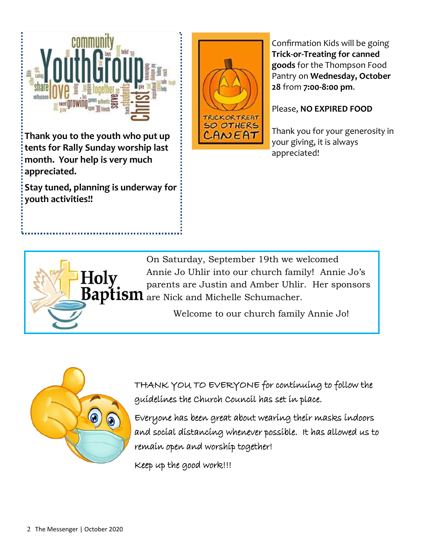

**Thank you to the youth who put up tents for Rally Sunday worship last month. Your help is very much appreciated.**

**Stay tuned, planning is underway for youth activities!!**



Confirmation Kids will be going **Trick-or-Treating for canned goods** for the Thompson Food Pantry on **Wednesday, October 28** from **7:00-8:00 pm**.

#### Please, **NO EXPIRED FOOD**

Thank you for your generosity in your giving, it is always appreciated!

Holy

On Saturday, September 19th we welcomed Annie Jo Uhlir into our church family! Annie Jo's parents are Justin and Amber Uhlir. Her sponsors **Baptism** are Nick and Michelle Schumacher.

Welcome to our church family Annie Jo!



THANK YOU TO EVERYONE for continuing to follow the guidelines the Church Council has set in place.

Everyone has been great about wearing their masks indoors and social distancing whenever possible. It has allowed us to remain open and worship together!

Keep up the good work!!!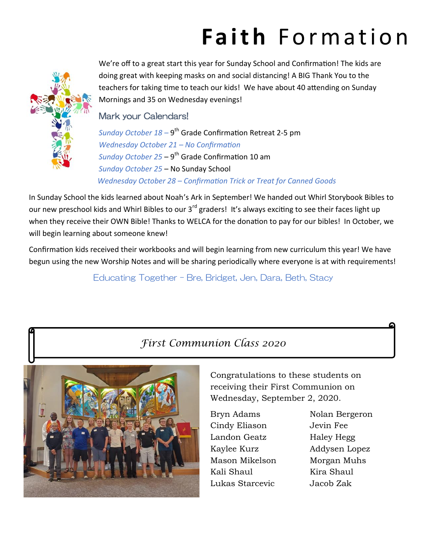# Faith Formation



We're off to a great start this year for Sunday School and Confirmation! The kids are doing great with keeping masks on and social distancing! A BIG Thank You to the teachers for taking time to teach our kids! We have about 40 attending on Sunday Mornings and 35 on Wednesday evenings!

#### Mark your Calendars!

Sunday October 18 – 9<sup>th</sup> Grade Confirmation Retreat 2-5 pm *Wednesday October 21 – No Confirmation*  Sunday October 25 – 9<sup>th</sup> Grade Confirmation 10 am *Sunday October 25* – No Sunday School  *Wednesday October 28 – Confirmation Trick or Treat for Canned Goods* 

In Sunday School the kids learned about Noah's Ark in September! We handed out Whirl Storybook Bibles to our new preschool kids and Whirl Bibles to our 3<sup>rd</sup> graders! It's always exciting to see their faces light up when they receive their OWN Bible! Thanks to WELCA for the donation to pay for our bibles! In October, we will begin learning about someone knew!

Confirmation kids received their workbooks and will begin learning from new curriculum this year! We have begun using the new Worship Notes and will be sharing periodically where everyone is at with requirements!

Educating Together – Bre, Bridget, Jen, Dara, Beth, Stacy

### *First Communion Class 2020*



Congratulations to these students on receiving their First Communion on Wednesday, September 2, 2020.

Bryn Adams Nolan Bergeron Cindy Eliason Jevin Fee Landon Geatz Haley Hegg Kaylee Kurz Addysen Lopez Mason Mikelson Morgan Muhs Kali Shaul Kira Shaul Lukas Starcevic Jacob Zak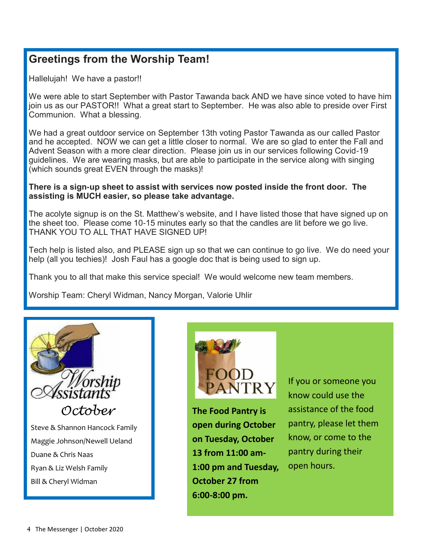### **Greetings from the Worship Team!**

Hallelujah! We have a pastor!!

We were able to start September with Pastor Tawanda back AND we have since voted to have him join us as our PASTOR!! What a great start to September. He was also able to preside over First Communion. What a blessing.

We had a great outdoor service on September 13th voting Pastor Tawanda as our called Pastor and he accepted. NOW we can get a little closer to normal. We are so glad to enter the Fall and Advent Season with a more clear direction. Please join us in our services following Covid-19 guidelines. We are wearing masks, but are able to participate in the service along with singing (which sounds great EVEN through the masks)!

#### **There is a sign-up sheet to assist with services now posted inside the front door. The assisting is MUCH easier, so please take advantage.**

The acolyte signup is on the St. Matthew's website, and I have listed those that have signed up on the sheet too. Please come 10-15 minutes early so that the candles are lit before we go live. THANK YOU TO ALL THAT HAVE SIGNED UP!

Tech help is listed also, and PLEASE sign up so that we can continue to go live. We do need your help (all you techies)! Josh Faul has a google doc that is being used to sign up.

Thank you to all that make this service special! We would welcome new team members.

Worship Team: Cheryl Widman, Nancy Morgan, Valorie Uhlir



Steve & Shannon Hancock Family Maggie Johnson/Newell Ueland Duane & Chris Naas Ryan & Liz Welsh Family Bill & Cheryl Widman



**The Food Pantry is open during October on Tuesday, October 13 from 11:00 am-1:00 pm and Tuesday, October 27 from 6:00-8:00 pm.** 

If you or someone you know could use the assistance of the food pantry, please let them know, or come to the pantry during their open hours.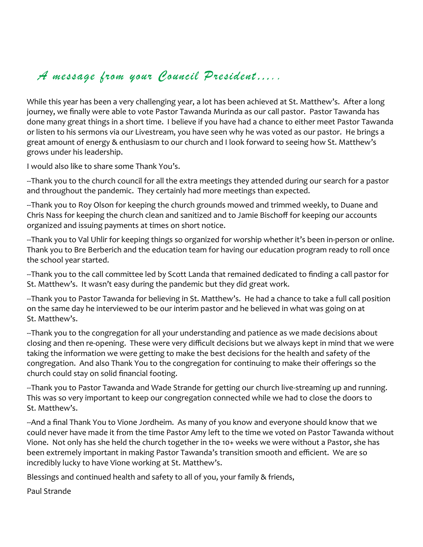### *A message from your Council President…..*

While this year has been a very challenging year, a lot has been achieved at St. Matthew's. After a long journey, we finally were able to vote Pastor Tawanda Murinda as our call pastor. Pastor Tawanda has done many great things in a short time. I believe if you have had a chance to either meet Pastor Tawanda or listen to his sermons via our Livestream, you have seen why he was voted as our pastor. He brings a great amount of energy & enthusiasm to our church and I look forward to seeing how St. Matthew's grows under his leadership.

I would also like to share some Thank You's.

--Thank you to the church council for all the extra meetings they attended during our search for a pastor and throughout the pandemic. They certainly had more meetings than expected.

--Thank you to Roy Olson for keeping the church grounds mowed and trimmed weekly, to Duane and Chris Nass for keeping the church clean and sanitized and to Jamie Bischoff for keeping our accounts organized and issuing payments at times on short notice.

--Thank you to Val Uhlir for keeping things so organized for worship whether it's been in-person or online. Thank you to Bre Berberich and the education team for having our education program ready to roll once the school year started.

--Thank you to the call committee led by Scott Landa that remained dedicated to finding a call pastor for St. Matthew's. It wasn't easy during the pandemic but they did great work.

--Thank you to Pastor Tawanda for believing in St. Matthew's. He had a chance to take a full call position on the same day he interviewed to be our interim pastor and he believed in what was going on at St. Matthew's.

--Thank you to the congregation for all your understanding and patience as we made decisions about closing and then re-opening. These were very difficult decisions but we always kept in mind that we were taking the information we were getting to make the best decisions for the health and safety of the congregation. And also Thank You to the congregation for continuing to make their offerings so the church could stay on solid financial footing.

--Thank you to Pastor Tawanda and Wade Strande for getting our church live-streaming up and running. This was so very important to keep our congregation connected while we had to close the doors to St. Matthew's.

--And a final Thank You to Vione Jordheim. As many of you know and everyone should know that we could never have made it from the time Pastor Amy left to the time we voted on Pastor Tawanda without Vione. Not only has she held the church together in the 10+ weeks we were without a Pastor, she has been extremely important in making Pastor Tawanda's transition smooth and efficient. We are so incredibly lucky to have Vione working at St. Matthew's.

Blessings and continued health and safety to all of you, your family & friends,

Paul Strande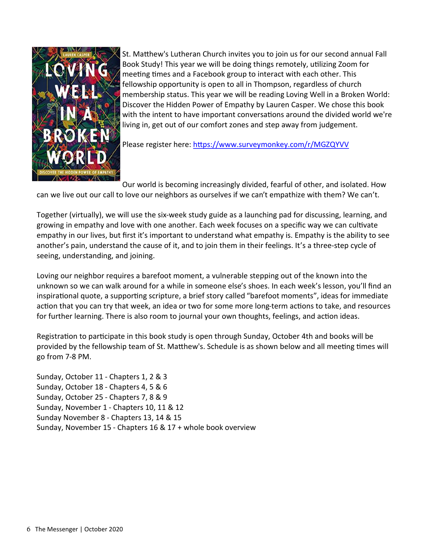

St. Matthew's Lutheran Church invites you to join us for our second annual Fall Book Study! This year we will be doing things remotely, utilizing Zoom for meeting times and a Facebook group to interact with each other. This fellowship opportunity is open to all in Thompson, regardless of church membership status. This year we will be reading Loving Well in a Broken World: Discover the Hidden Power of Empathy by Lauren Casper. We chose this book with the intent to have important conversations around the divided world we're living in, get out of our comfort zones and step away from judgement.

Please register here: <https://www.surveymonkey.com/r/MGZQYVV>

Our world is becoming increasingly divided, fearful of other, and isolated. How can we live out our call to love our neighbors as ourselves if we can't empathize with them? We can't.

Together (virtually), we will use the six-week study guide as a launching pad for discussing, learning, and growing in empathy and love with one another. Each week focuses on a specific way we can cultivate empathy in our lives, but first it's important to understand what empathy is. Empathy is the ability to see another's pain, understand the cause of it, and to join them in their feelings. It's a three-step cycle of seeing, understanding, and joining.

Loving our neighbor requires a barefoot moment, a vulnerable stepping out of the known into the unknown so we can walk around for a while in someone else's shoes. In each week's lesson, you'll find an inspirational quote, a supporting scripture, a brief story called "barefoot moments", ideas for immediate action that you can try that week, an idea or two for some more long-term actions to take, and resources for further learning. There is also room to journal your own thoughts, feelings, and action ideas.

Registration to participate in this book study is open through Sunday, October 4th and books will be provided by the fellowship team of St. Matthew's. Schedule is as shown below and all meeting times will go from 7-8 PM.

Sunday, October 11 - Chapters 1, 2 & 3 Sunday, October 18 - Chapters 4, 5 & 6 Sunday, October 25 - Chapters 7, 8 & 9 Sunday, November 1 - Chapters 10, 11 & 12 Sunday November 8 - Chapters 13, 14 & 15 Sunday, November 15 - Chapters 16 & 17 + whole book overview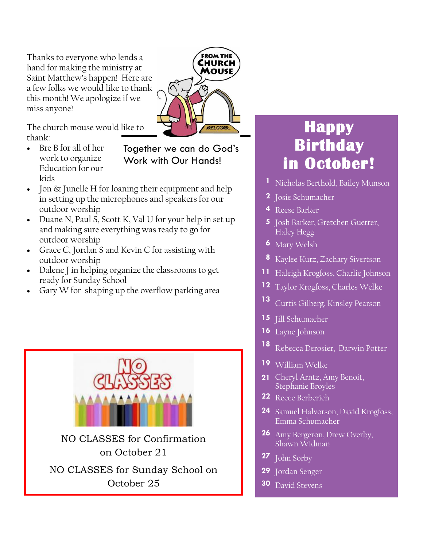Thanks to everyone who lends a hand for making the ministry at Saint Matthew's happen! Here are a few folks we would like to thank this month! We apologize if we miss anyone!

The church mouse would like to thank:

• Bre B for all of her work to organize Education for our kids

Together we can do God's Work with Our Hands!

**FROM THE** CHURCH MOUSE

**WELCONNE** 

- Jon & Junelle H for loaning their equipment and help in setting up the microphones and speakers for our outdoor worship
- Duane N, Paul S, Scott K, Val U for your help in set up and making sure everything was ready to go for outdoor worship
- Grace C, Jordan S and Kevin C for assisting with outdoor worship
- Dalene J in helping organize the classrooms to get ready for Sunday School
- Gary W for shaping up the overflow parking area



## **Happy Birthday in October!**

- **1** Nicholas Berthold, Bailey Munson
- **2** Josie Schumacher
- **4** Reese Barker
- **5** Josh Barker, Gretchen Guetter, Haley Hegg
- **6** Mary Welsh
- **8** Kaylee Kurz, Zachary Sivertson
- **11** Haleigh Krogfoss, Charlie Johnson
- **12** Taylor Krogfoss, Charles Welke
- **<sup>13</sup>** Curtis Gilberg, Kinsley Pearson
- **15** Jill Schumacher
- 16 Layne Johnson
- **<sup>18</sup>** Rebecca Derosier, Darwin Potter
- **19** William Welke
- **21** Cheryl Arntz, Amy Benoit, Stephanie Broyles
- **22** Reece Berberich
- **24** Samuel Halvorson, David Krogfoss, Emma Schumacher
- **26** Amy Bergeron, Drew Overby, Shawn Widman
- **27** John Sorby
- **29** Jordan Senger
- **30** David Stevens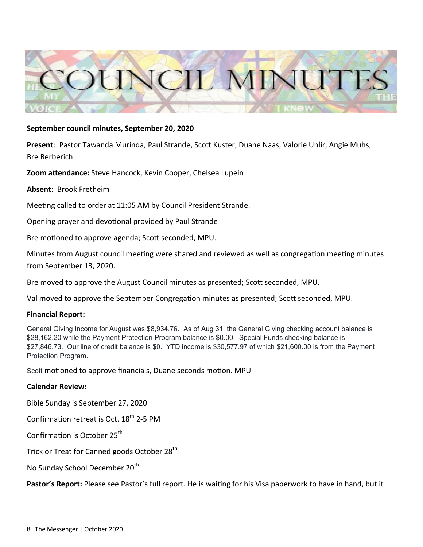

#### **September council minutes, September 20, 2020**

**Present**: Pastor Tawanda Murinda, Paul Strande, Scott Kuster, Duane Naas, Valorie Uhlir, Angie Muhs, Bre Berberich

**Zoom attendance:** Steve Hancock, Kevin Cooper, Chelsea Lupein

**Absent**: Brook Fretheim

Meeting called to order at 11:05 AM by Council President Strande.

Opening prayer and devotional provided by Paul Strande

Bre motioned to approve agenda; Scott seconded, MPU.

Minutes from August council meeting were shared and reviewed as well as congregation meeting minutes from September 13, 2020.

Bre moved to approve the August Council minutes as presented; Scott seconded, MPU.

Val moved to approve the September Congregation minutes as presented; Scott seconded, MPU.

#### **Financial Report:**

General Giving Income for August was \$8,934.76. As of Aug 31, the General Giving checking account balance is \$28,162.20 while the Payment Protection Program balance is \$0.00. Special Funds checking balance is \$27,846.73. Our line of credit balance is \$0. YTD income is \$30,577.97 of which \$21,600.00 is from the Payment Protection Program.

Scott motioned to approve financials, Duane seconds motion. MPU

#### **Calendar Review:**

Bible Sunday is September 27, 2020

Confirmation retreat is Oct.  $18<sup>th</sup>$  2-5 PM

Confirmation is October 25<sup>th</sup>

Trick or Treat for Canned goods October 28<sup>th</sup>

No Sunday School December 20<sup>th</sup>

**Pastor's Report:** Please see Pastor's full report. He is waiting for his Visa paperwork to have in hand, but it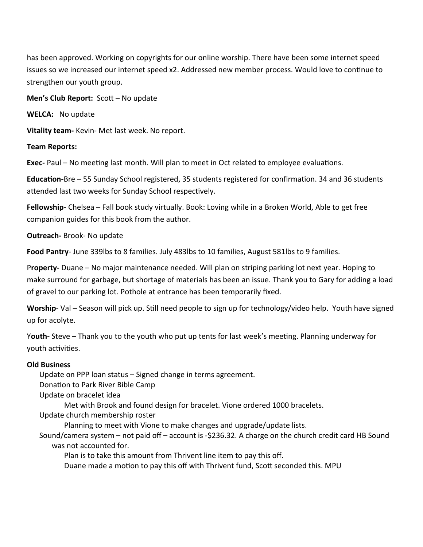has been approved. Working on copyrights for our online worship. There have been some internet speed issues so we increased our internet speed x2. Addressed new member process. Would love to continue to strengthen our youth group.

**Men's Club Report:** Scott – No update

**WELCA:** No update

**Vitality team-** Kevin- Met last week. No report.

#### **Team Reports:**

**Exec-** Paul – No meeting last month. Will plan to meet in Oct related to employee evaluations.

**Education-**Bre – 55 Sunday School registered, 35 students registered for confirmation. 34 and 36 students attended last two weeks for Sunday School respectively.

**Fellowship-** Chelsea – Fall book study virtually. Book: Loving while in a Broken World, Able to get free companion guides for this book from the author.

**Outreach-** Brook- No update

**Food Pantry**- June 339lbs to 8 families. July 483lbs to 10 families, August 581lbs to 9 families.

P**roperty-** Duane – No major maintenance needed. Will plan on striping parking lot next year. Hoping to make surround for garbage, but shortage of materials has been an issue. Thank you to Gary for adding a load of gravel to our parking lot. Pothole at entrance has been temporarily fixed.

**Worship**- Val – Season will pick up. Still need people to sign up for technology/video help. Youth have signed up for acolyte.

Y**outh-** Steve – Thank you to the youth who put up tents for last week's meeting. Planning underway for youth activities.

#### **Old Business**

Update on PPP loan status – Signed change in terms agreement. Donation to Park River Bible Camp Update on bracelet idea

Met with Brook and found design for bracelet. Vione ordered 1000 bracelets.

Update church membership roster

Planning to meet with Vione to make changes and upgrade/update lists.

Sound/camera system – not paid off – account is -\$236.32. A charge on the church credit card HB Sound was not accounted for.

Plan is to take this amount from Thrivent line item to pay this off.

Duane made a motion to pay this off with Thrivent fund, Scott seconded this. MPU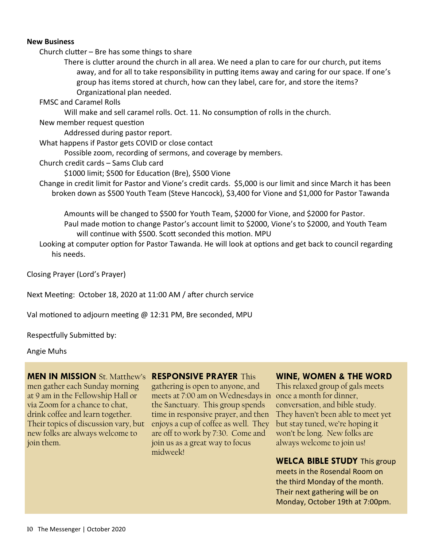#### **New Business**

Church clutter – Bre has some things to share

There is clutter around the church in all area. We need a plan to care for our church, put items away, and for all to take responsibility in putting items away and caring for our space. If one's group has items stored at church, how can they label, care for, and store the items? Organizational plan needed.

FMSC and Caramel Rolls

Will make and sell caramel rolls. Oct. 11. No consumption of rolls in the church.

New member request question

Addressed during pastor report.

What happens if Pastor gets COVID or close contact

Possible zoom, recording of sermons, and coverage by members.

Church credit cards – Sams Club card

\$1000 limit; \$500 for Education (Bre), \$500 Vione

Change in credit limit for Pastor and Vione's credit cards. \$5,000 is our limit and since March it has been broken down as \$500 Youth Team (Steve Hancock), \$3,400 for Vione and \$1,000 for Pastor Tawanda

Amounts will be changed to \$500 for Youth Team, \$2000 for Vione, and \$2000 for Pastor. Paul made motion to change Pastor's account limit to \$2000, Vione's to \$2000, and Youth Team will continue with \$500. Scott seconded this motion. MPU

Looking at computer option for Pastor Tawanda. He will look at options and get back to council regarding his needs.

Closing Prayer (Lord's Prayer)

Next Meeting: October 18, 2020 at 11:00 AM / after church service

Val motioned to adjourn meeting @ 12:31 PM, Bre seconded, MPU

Respectfully Submitted by:

Angie Muhs

#### **MEN IN MISSION** St. Matthew's **RESPONSIVE PRAYER** This

men gather each Sunday morning at 9 am in the Fellowship Hall or via Zoom for a chance to chat, drink coffee and learn together. Their topics of discussion vary, but new folks are always welcome to join them.

gathering is open to anyone, and meets at 7:00 am on Wednesdays in once a month for dinner, the Sanctuary. This group spends time in responsive prayer, and then enjoys a cup of coffee as well. They are off to work by 7:30. Come and join us as a great way to focus midweek!

#### **WINE, WOMEN & THE WORD**

This relaxed group of gals meets conversation, and bible study. They haven't been able to meet yet but stay tuned, we're hoping it won't be long. New folks are always welcome to join us!

#### **WELCA BIBLE STUDY** This group

meets in the Rosendal Room on the third Monday of the month. Their next gathering will be on Monday, October 19th at 7:00pm.